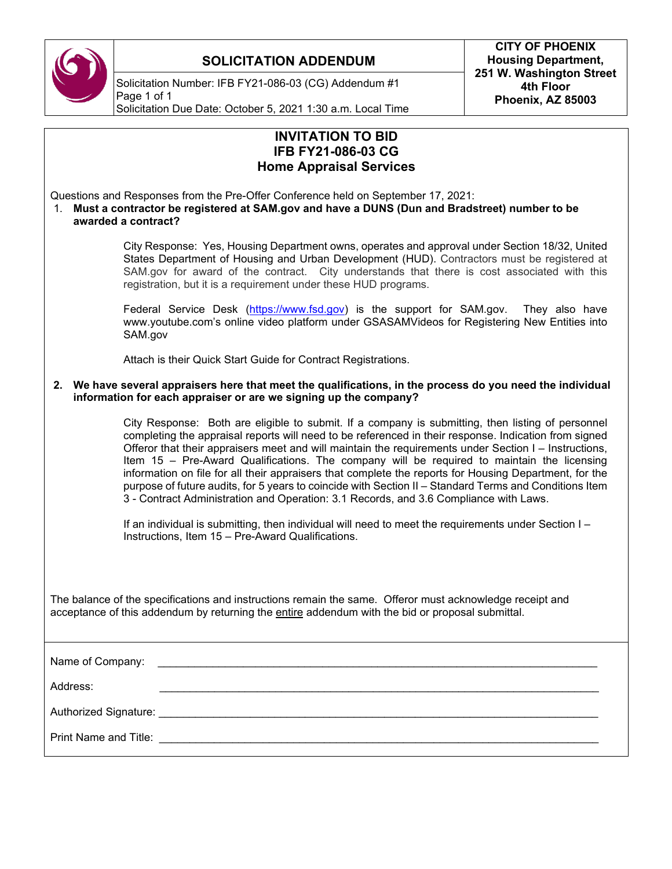

#### **SOLICITATION ADDENDUM**

Solicitation Number: IFB FY21-086-03 (CG) Addendum #1 Page 1 of 1 Solicitation Due Date: October 5, 2021 1:30 a.m. Local Time

| <b>INVITATION TO BID</b><br><b>IFB FY21-086-03 CG</b><br><b>Home Appraisal Services</b>                                                                                                                                                                                                                                                                                                                                                                                                                                                                                                                                                                                                                                        |
|--------------------------------------------------------------------------------------------------------------------------------------------------------------------------------------------------------------------------------------------------------------------------------------------------------------------------------------------------------------------------------------------------------------------------------------------------------------------------------------------------------------------------------------------------------------------------------------------------------------------------------------------------------------------------------------------------------------------------------|
| Questions and Responses from the Pre-Offer Conference held on September 17, 2021:<br>Must a contractor be registered at SAM.gov and have a DUNS (Dun and Bradstreet) number to be<br>1.<br>awarded a contract?                                                                                                                                                                                                                                                                                                                                                                                                                                                                                                                 |
| City Response: Yes, Housing Department owns, operates and approval under Section 18/32, United<br>States Department of Housing and Urban Development (HUD). Contractors must be registered at<br>SAM.gov for award of the contract. City understands that there is cost associated with this<br>registration, but it is a requirement under these HUD programs.                                                                                                                                                                                                                                                                                                                                                                |
| Federal Service Desk (https://www.fsd.gov) is the support for SAM.gov.<br>They also have<br>www.youtube.com's online video platform under GSASAMVideos for Registering New Entities into<br>SAM.gov                                                                                                                                                                                                                                                                                                                                                                                                                                                                                                                            |
| Attach is their Quick Start Guide for Contract Registrations.                                                                                                                                                                                                                                                                                                                                                                                                                                                                                                                                                                                                                                                                  |
| 2. We have several appraisers here that meet the qualifications, in the process do you need the individual<br>information for each appraiser or are we signing up the company?                                                                                                                                                                                                                                                                                                                                                                                                                                                                                                                                                 |
| City Response: Both are eligible to submit. If a company is submitting, then listing of personnel<br>completing the appraisal reports will need to be referenced in their response. Indication from signed<br>Offeror that their appraisers meet and will maintain the requirements under Section I - Instructions,<br>Item 15 - Pre-Award Qualifications. The company will be required to maintain the licensing<br>information on file for all their appraisers that complete the reports for Housing Department, for the<br>purpose of future audits, for 5 years to coincide with Section II - Standard Terms and Conditions Item<br>3 - Contract Administration and Operation: 3.1 Records, and 3.6 Compliance with Laws. |
| If an individual is submitting, then individual will need to meet the requirements under Section I -<br>Instructions, Item 15 - Pre-Award Qualifications.                                                                                                                                                                                                                                                                                                                                                                                                                                                                                                                                                                      |
| The balance of the specifications and instructions remain the same. Offeror must acknowledge receipt and<br>acceptance of this addendum by returning the entire addendum with the bid or proposal submittal.                                                                                                                                                                                                                                                                                                                                                                                                                                                                                                                   |
| Name of Company:                                                                                                                                                                                                                                                                                                                                                                                                                                                                                                                                                                                                                                                                                                               |
| Address:                                                                                                                                                                                                                                                                                                                                                                                                                                                                                                                                                                                                                                                                                                                       |
|                                                                                                                                                                                                                                                                                                                                                                                                                                                                                                                                                                                                                                                                                                                                |
| Print Name and Title:                                                                                                                                                                                                                                                                                                                                                                                                                                                                                                                                                                                                                                                                                                          |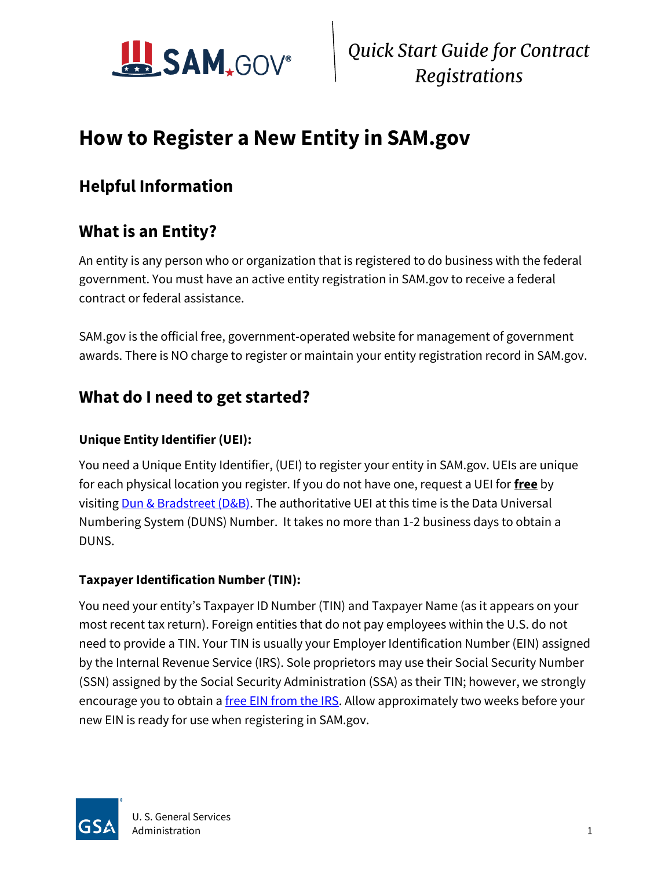

 *Quick Start Guide for Contract Registrations*

## **How to Register a New Entity in SAM.gov**

### **Helpful Information**

### **What is an Entity?**

An entity is any person who or organization that is registered to do business with the federal government. You must have an active entity registration in SAM.gov to receive a federal contract or federal assistance.

SAM.gov is the official free, government-operated website for management of government awards. There is NO charge to register or maintain your entity registration record in SAM.gov.

#### **What do I need to get started?**

#### **Unique Entity Identifier (UEI):**

You need a Unique Entity Identifier, (UEI) to register your entity in SAM.gov. UEIs are unique for each physical location you register. If you do not have one, request a UEI for **free** by visitin[g Dun & Bradstreet \(D&B\).](http://fedgov.dnb.com/webform) The authoritative UEI at this time is the Data Universal Numbering System (DUNS) Number. It takes no more than 1-2 business days to obtain a DUNS.

#### **Taxpayer Identification Number (TIN):**

You need your entity's Taxpayer ID Number (TIN) and Taxpayer Name (as it appears on your most recent tax return). Foreign entities that do not pay employees within the U.S. do not need to provide a TIN. Your TIN is usually your Employer Identification Number (EIN) assigned by the Internal Revenue Service (IRS). Sole proprietors may use their Social Security Number (SSN) assigned by the Social Security Administration (SSA) as their TIN; however, we strongly encourage you to obtain a [free EIN from the IRS.](http://www.irs.gov/Businesses/Small-Businesses-&-Self-Employed/How-to-Apply-for-an-EIN) Allow approximately two weeks before your new EIN is ready for use when registering in SAM.gov.

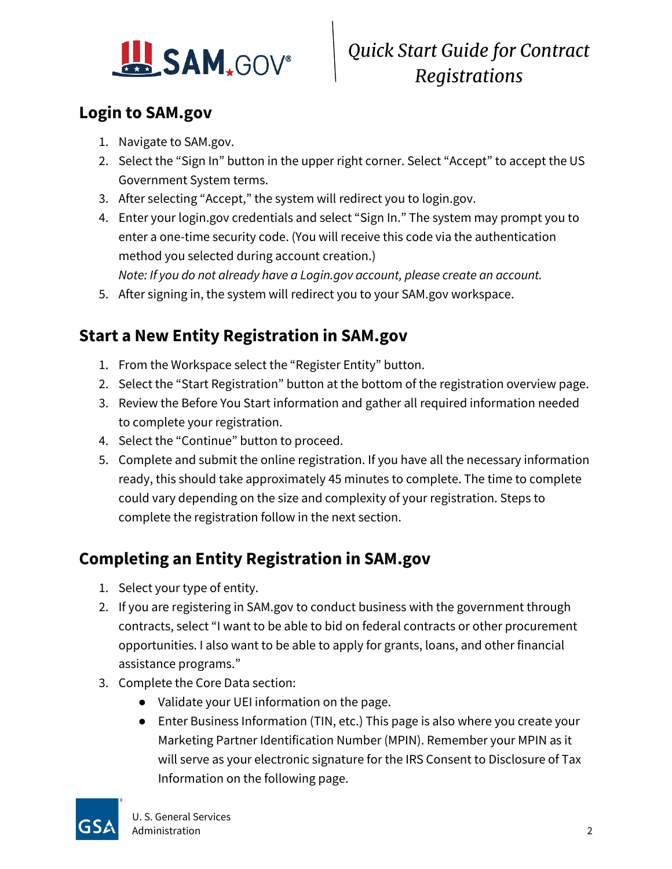

### **Login to SAM.gov**

- 1. Navigate to SAM.gov.
- 2. Select the "Sign In" button in the upper right corner. Select "Accept" to accept the US Government System terms.
- 3. After selecting "Accept," the system will redirect you to login.gov.
- 4. Enter your login.gov credentials and select "Sign In." The system may prompt you to enter a one-time security code. (You will receive this code via the authentication method you selected during account creation.) *Note: If you do not already have a Login.gov account, please create an account.*
- 5. After signing in, the system will redirect you to your SAM.gov workspace.

### **Start a New Entity Registration in SAM.gov**

- 1. From the Workspace select the "Register Entity" button.
- 2. Select the "Start Registration" button at the bottom of the registration overview page.
- 3. Review the Before You Start information and gather all required information needed to complete your registration.
- 4. Select the "Continue" button to proceed.
- 5. Complete and submit the online registration. If you have all the necessary information ready, this should take approximately 45 minutes to complete. The time to complete could vary depending on the size and complexity of your registration. Steps to complete the registration follow in the next section.

### **Completing an Entity Registration in SAM.gov**

- 1. Select your type of entity.
- 2. If you are registering in SAM.gov to conduct business with the government through contracts, select "I want to be able to bid on federal contracts or other procurement opportunities. I also want to be able to apply for grants, loans, and other financial assistance programs."
- 3. Complete the Core Data section:
	- Validate your UEI information on the page.
	- Enter Business Information (TIN, etc.) This page is also where you create your Marketing Partner Identification Number (MPIN). Remember your MPIN as it will serve as your electronic signature for the IRS Consent to Disclosure of Tax Information on the following page.

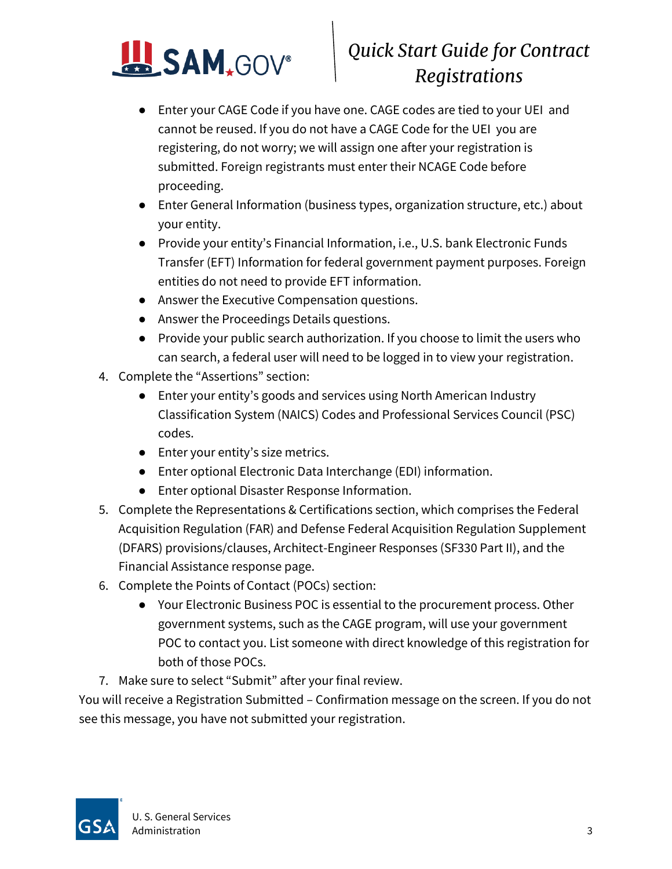

# *Quick Start Guide for Contract Registrations*

- Enter your CAGE Code if you have one. CAGE codes are tied to your UEI and cannot be reused. If you do not have a CAGE Code for the UEI you are registering, do not worry; we will assign one after your registration is submitted. Foreign registrants must enter their NCAGE Code before proceeding.
- Enter General Information (business types, organization structure, etc.) about your entity.
- Provide your entity's Financial Information, i.e., U.S. bank Electronic Funds Transfer (EFT) Information for federal government payment purposes. Foreign entities do not need to provide EFT information.
- Answer the Executive Compensation questions.
- Answer the Proceedings Details questions.
- Provide your public search authorization. If you choose to limit the users who can search, a federal user will need to be logged in to view your registration.
- 4. Complete the "Assertions" section:
	- Enter your entity's goods and services using North American Industry Classification System (NAICS) Codes and Professional Services Council (PSC) codes.
	- Enter your entity's size metrics.
	- Enter optional Electronic Data Interchange (EDI) information.
	- Enter optional Disaster Response Information.
- 5. Complete the Representations & Certifications section, which comprises the Federal Acquisition Regulation (FAR) and Defense Federal Acquisition Regulation Supplement (DFARS) provisions/clauses, Architect-Engineer Responses (SF330 Part II), and the Financial Assistance response page.
- 6. Complete the Points of Contact (POCs) section:
	- Your Electronic Business POC is essential to the procurement process. Other government systems, such as the CAGE program, will use your government POC to contact you. List someone with direct knowledge of this registration for both of those POCs.
- 7. Make sure to select "Submit" after your final review.

You will receive a Registration Submitted – Confirmation message on the screen. If you do not see this message, you have not submitted your registration.